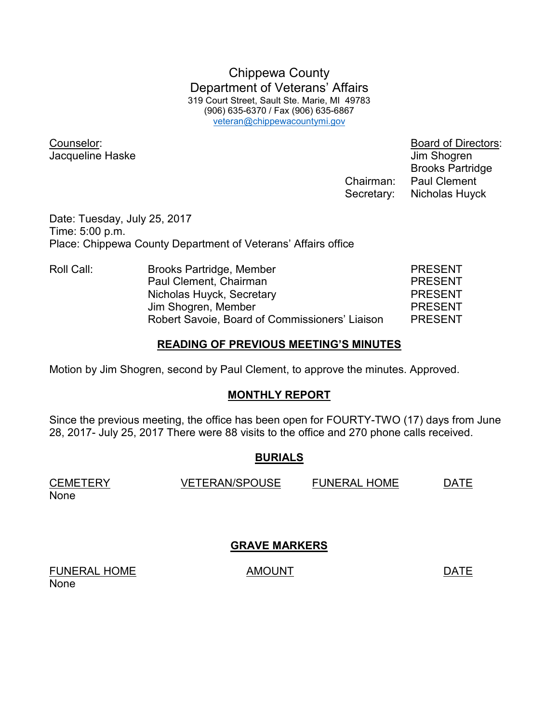Chippewa County Department of Veterans' Affairs 319 Court Street, Sault Ste. Marie, MI 49783 (906) 635-6370 / Fax (906) 635-6867 veteran@chippewacountymi.gov

Jacqueline Haske Jacqueline Haske Jim Shogren

Counselor: Board of Directors: Brooks Partridge Chairman: Paul Clement Secretary: Nicholas Huyck

Date: Tuesday, July 25, 2017 Time: 5:00 p.m. Place: Chippewa County Department of Veterans' Affairs office

| Roll Call: | Brooks Partridge, Member                       | <b>PRESENT</b> |
|------------|------------------------------------------------|----------------|
|            | Paul Clement, Chairman                         | <b>PRESENT</b> |
|            | Nicholas Huyck, Secretary                      | <b>PRESENT</b> |
|            | Jim Shogren, Member                            | <b>PRESENT</b> |
|            | Robert Savoie, Board of Commissioners' Liaison | <b>PRESENT</b> |

### **READING OF PREVIOUS MEETING'S MINUTES**

Motion by Jim Shogren, second by Paul Clement, to approve the minutes. Approved.

## **MONTHLY REPORT**

Since the previous meeting, the office has been open for FOURTY-TWO (17) days from June 28, 2017- July 25, 2017 There were 88 visits to the office and 270 phone calls received.

## **BURIALS**

| <b>CEMETERY</b> | <b>VETERAN/SPOUSE</b> | <b>FUNERAL HOME</b> | DATF |
|-----------------|-----------------------|---------------------|------|
| None            |                       |                     |      |

# **GRAVE MARKERS**

FUNERAL HOME AMOUNT AMOUNT DATE None